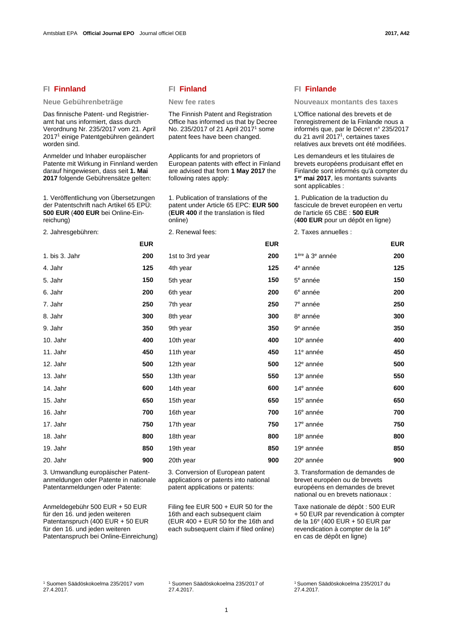# **FI Finnland FI Finland FI Finlande**

Das finnische Patent- und Registrieramt hat uns informiert, dass durch Verordnung Nr. 235/2017 vom 21. April 20171 einige Patentgebühren geändert worden sind.

Anmelder und Inhaber europäischer Patente mit Wirkung in Finnland werden darauf hingewiesen, dass seit **1. Mai 2017** folgende Gebührensätze gelten:

1. Veröffentlichung von Übersetzungen der Patentschrift nach Artikel 65 EPÜ: **500 EUR** (**400 EUR** bei Online-Einreichung)

2. Jahresgebühren: 2. Renewal fees: 2. Taxes annuelles :

|                | <b>EUR</b> |                 | <b>EUR</b> |                                         | <b>EUR</b> |
|----------------|------------|-----------------|------------|-----------------------------------------|------------|
| 1. bis 3. Jahr | 200        | 1st to 3rd year | 200        | 1 <sup>ère</sup> à 3 <sup>e</sup> année | 200        |
| 4. Jahr        | 125        | 4th year        | 125        | 4 <sup>e</sup> année                    | 125        |
| 5. Jahr        | 150        | 5th year        | 150        | $5e$ année                              | 150        |
| 6. Jahr        | 200        | 6th year        | 200        | 6 <sup>e</sup> année                    | 200        |
| 7. Jahr        | 250        | 7th year        | 250        | 7 <sup>e</sup> année                    | 250        |
| 8. Jahr        | 300        | 8th year        | 300        | 8 <sup>e</sup> année                    | 300        |
| 9. Jahr        | 350        | 9th year        | 350        | 9 <sup>e</sup> année                    | 350        |
| 10. Jahr       | 400        | 10th year       | 400        | $10e$ année                             | 400        |
| 11. Jahr       | 450        | 11th year       | 450        | 11 <sup>e</sup> année                   | 450        |
| 12. Jahr       | 500        | 12th year       | 500        | 12 <sup>e</sup> année                   | 500        |
| 13. Jahr       | 550        | 13th year       | 550        | 13 <sup>e</sup> année                   | 550        |
| 14. Jahr       | 600        | 14th year       | 600        | 14 <sup>e</sup> année                   | 600        |
| 15. Jahr       | 650        | 15th year       | 650        | 15 <sup>e</sup> année                   | 650        |
| 16. Jahr       | 700        | 16th year       | 700        | 16 <sup>e</sup> année                   | 700        |
| 17. Jahr       | 750        | 17th year       | 750        | 17 <sup>e</sup> année                   | 750        |
| 18. Jahr       | 800        | 18th year       | 800        | 18 <sup>e</sup> année                   | 800        |
|                |            |                 |            |                                         |            |

3. Umwandlung europäischer Patentanmeldungen oder Patente in nationale Patentanmeldungen oder Patente:

Anmeldegebühr 500 EUR + 50 EUR für den 16. und jeden weiteren Patentanspruch (400 EUR + 50 EUR für den 16. und jeden weiteren Patentanspruch bei Online-Einreichung)

 The Finnish Patent and Registration Office has informed us that by Decree No. 235/2017 of 21 April 20171 some patent fees have been changed.

Applicants for and proprietors of European patents with effect in Finland are advised that from **1 May 2017** the following rates apply:

 1. Publication of translations of the patent under Article 65 EPC: **EUR 500**  (**EUR 400** if the translation is filed online)

|                | <b>EUR</b> |                 | <b>EUR</b> |                                         | <b>EUR</b> |
|----------------|------------|-----------------|------------|-----------------------------------------|------------|
| 1. bis 3. Jahr | 200        | 1st to 3rd year | 200        | 1 <sup>ère</sup> à 3 <sup>e</sup> année | 200        |
| 4. Jahr        | 125        | 4th year        | 125        | 4 <sup>e</sup> année                    | 125        |
| 5. Jahr        | 150        | 5th year        | 150        | $5e$ année                              | 150        |
| 6. Jahr        | 200        | 6th year        | 200        | 6 <sup>e</sup> année                    | 200        |
| 7. Jahr        | 250        | 7th year        | 250        | 7 <sup>e</sup> année                    | 250        |
| 8. Jahr        | 300        | 8th year        | 300        | 8 <sup>e</sup> année                    | 300        |
| 9. Jahr        | 350        | 9th year        | 350        | 9 <sup>e</sup> année                    | 350        |
| 10. Jahr       | 400        | 10th year       | 400        | $10e$ année                             | 400        |
| 11. Jahr       | 450        | 11th year       | 450        | $11e$ année                             | 450        |
| 12. Jahr       | 500        | 12th year       | 500        | $12e$ année                             | 500        |
| 13. Jahr       | 550        | 13th year       | 550        | $13e$ année                             | 550        |
| 14. Jahr       | 600        | 14th year       | 600        | 14 <sup>e</sup> année                   | 600        |
| 15. Jahr       | 650        | 15th year       | 650        | 15 <sup>e</sup> année                   | 650        |
| 16. Jahr       | 700        | 16th year       | 700        | 16 <sup>e</sup> année                   | 700        |
| 17. Jahr       | 750        | 17th year       | 750        | 17 <sup>e</sup> année                   | 750        |
| 18. Jahr       | 800        | 18th year       | 800        | 18 <sup>e</sup> année                   | 800        |
| 19. Jahr       | 850        | 19th year       | 850        | 19 <sup>e</sup> année                   | 850        |
| 20. Jahr       | 900        | 20th year       | 900        | 20 <sup>e</sup> année                   | 900        |
|                |            |                 |            |                                         |            |

3. Conversion of European patent applications or patents into national patent applications or patents:

 Filing fee EUR 500 + EUR 50 for the 16th and each subsequent claim (EUR 400 + EUR 50 for the 16th and each subsequent claim if filed online)

# Neue Gebührenbeträge **New fee rates** Nouveaux montants des taxes

 L'Office national des brevets et de l'enregistrement de la Finlande nous a informés que, par le Décret n° 235/2017 du 21 avril 20171, certaines taxes relatives aux brevets ont été modifiées.

 Les demandeurs et les titulaires de brevets européens produisant effet en Finlande sont informés qu'à compter du **1er mai 2017**, les montants suivants sont applicables :

 1. Publication de la traduction du fascicule de brevet européen en vertu de l'article 65 CBE : **500 EUR**  (**400 EUR** pour un dépôt en ligne)

|                                         | <b>EUR</b> |
|-----------------------------------------|------------|
| 1 <sup>ère</sup> à 3 <sup>e</sup> année | 200        |
| 4 <sup>e</sup> année                    | 125        |
| $5e$ année                              | 150        |
| 6 <sup>e</sup> année                    | 200        |
| 7 <sup>e</sup> année                    | 250        |
| 8 <sup>e</sup> année                    | 300        |
| 9 <sup>e</sup> année                    | 350        |
| 10 <sup>e</sup> année                   | 400        |
| 11 <sup>e</sup> année                   | 450        |
| 12 <sup>e</sup> année                   | 500        |
| 13 <sup>e</sup> année                   | 550        |
| 14 <sup>e</sup> année                   | 600        |
| 15 <sup>e</sup> année                   | 650        |
| 16 <sup>e</sup> année                   | 700        |
| 17 <sup>e</sup> année                   | 750        |
| 18 <sup>e</sup> année                   | 800        |
| 19 <sup>e</sup> année                   | 850        |
| 20 <sup>e</sup> année                   | 900        |

 3. Transformation de demandes de brevet européen ou de brevets européens en demandes de brevet national ou en brevets nationaux :

 Taxe nationale de dépôt : 500 EUR + 50 EUR par revendication à compter de la 16e (400 EUR + 50 EUR par revendication à compter de la 16<sup>e</sup> en cas de dépôt en ligne)

1 Suomen Säädöskokoelma 235/2017 vom 27.4.2017.

1 Suomen Säädöskokoelma 235/2017 of 27.4.2017.

1 Suomen Säädöskokoelma 235/2017 du 27.4.2017.